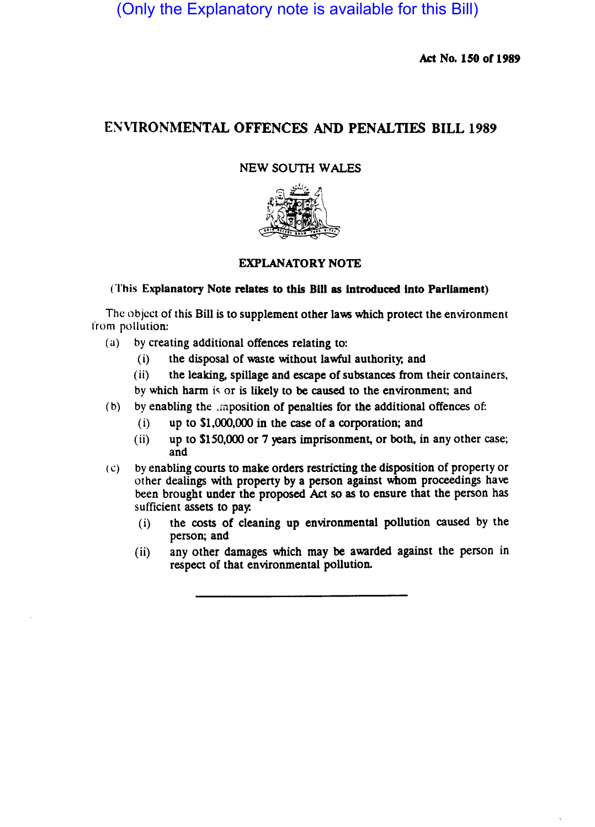(Only the Explanatory note is available for this Bill)

Act No. *ISO* or 1989

# EN\lRONMENTAL OFFENCES AND PENALTIES BILL 1989

## NEW SOUTH WALES



# EXPLANATORY NOTE

### (This Explanatory Note relates to this Bill as introduced into Parliament)

The object of this Bill is to supplement other laws which protect the environment from pollution:

- (a) by creating additional offences relating to:
	- (i) the disposal of waste without lawful authority; and

(ii) the leaking, spillage and escape of substances from their containers. by which harm is or is likely to be caused to the environment; and

- (b) by enabling the imposition of penalties for the additional offences of:
	- (i) up to \$1,000,000 in the case of a corporation; and
	- (ii) up to \$150,000 or 7 years imprisonment, or both, in any other case; and
- (c) by enabling courts to make orders restricting the disposition of property or other dealings with property by a person against whom proceedings have been brought under the proposed Act so as to ensure that the person has sufficient assets to pay:
	- (i) the costs of cleaning up environmental pollution caused by the person; and
	- (ii) any other damages which may be awarded against the person in respect of that environmental pollution.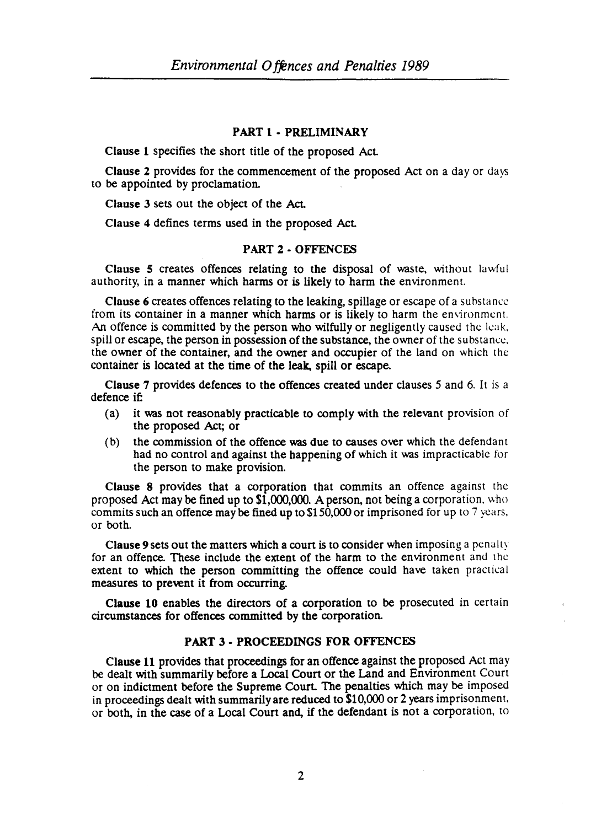#### PART 1 - PRELIMINARY

Clause 1 specifies the short title of the proposed AcL

Clause 2 provides for the commencement of the proposed Act on a day or days to be appointed by proclamation.

Clause 3 sets out the object of the AcL

Clause 4 defines terms used in the proposed AcL

### PART 2 • OFFENCES

Clause 5 creates offences relating to the disposal of waste, without lawful authority, in a manner which harms or is likely to harm the environment.

Clause 6 creates offences relating to the leaking, spillage or escape of a substance from its container in a manner which harms or is likely to harm the environment. An offence is committed by the person who wilfully or negligently caused the leak. spill or escape, the person in possession of the substance, the owner of the substance. the owner of the container, and the owner and occupier of the land on which the container is located at the time of the leak, spill or escape.

Clause 7 provides defences to the offences created under clauses 5 and 6. It is a defence if:

- (a) it was not reasonably practicable to comply with the relevant provision of the proposed Act; or
- (b) the commission of the offence was due to causes over which the defendant had no control and against the happening of which it was impracticable for the person to make provision.

Clause 8 provides that a corporation that commits an offence against the proposed Act may be fined up to \$1,000,000. A person, not being a corporation. who commits such an offence may be fined up to 5150,000 or imprisoned for up to 7 years. or both.

Clause 9 sets out the matters which a court is to consider when imposing a penalty for an offence. These include the extent of the harm to the environment and thc extent to which the person committing the offence could have taken practical measures to prevent it from occurring.

Clause 10 enables the directors of a corporation to be prosecuted in certain circumstances for offences committed by the corporation.

## PART 3 • PROCEEDINGS FOR OFFENCES

Clause 11 provides that proceedings for an offence against the proposed Act may be dealt with summarily before a Local Court or the Land and Environment Court or on indictment before the Supreme Court. The penalties which may be imposed in proceedings dealt with summarily are reduced to  $$10,000$  or 2 years imprisonment. or both, in the case of a Local Court and, if the defendant is not a corporation. to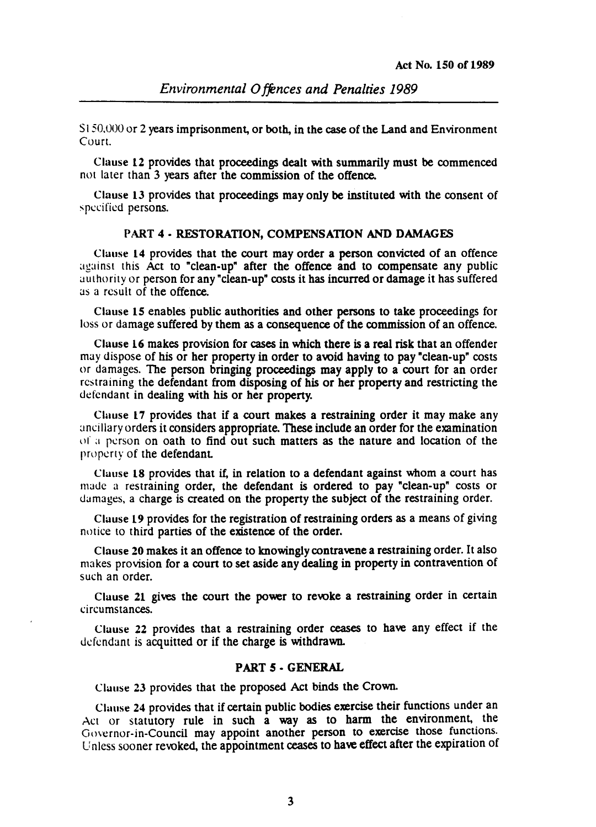$S150,000$  or 2 years imprisonment, or both, in the case of the Land and Environment Court.

Clause 12 provides that proceedings dealt with summarily must be commenced not later than 3 years after the commission of the offence.

Clause 13 provides that proceedings may only be instituted with the consent of specified persons.

#### PART 4· RESTORATION, COMPENSATION AND DAMAGES

Clause 14 provides that the court may order a person convicted of an offence against this Act to "clean-up" after the offence and to compensate any public authority or person for any "clean-up" costs it has incurred or damage it has suffered as a result of the offence.

Clause 15 enables public authorities and other persons to take proceedings for loss or damage suffered by them as a consequence of the commission of an offence.

Clause 16 makes provision for cases in which there is a real risk that an offender may dispose of his or her property in order to avoid having to pay "clean-up" costs or damages. The person bringing proceedings may apply to a court for an order restraining the defendant from disposing of his or her property and restricting the defendant in dealing with his or her property.

Clause 17 provides that if a court makes a restraining order it may make any ancillary orders it considers appropriate. These include an order for the examination  $I$  a person on oath to find out such matters as the nature and location of the property of the defendant.

Clause 18 provides that if, in relation to a defendant against whom a court has made a restraining order, the defendant is ordered to pay "clean\_up" costs or damages, a charge is created on the property the subject of the restraining order.

Clause 19 provides for the registration of restraining orders as a means of giving notice to third parties of the existence of the order.

Clause 20 makes it an offence to knowingly contravene a restraining order. It also makes provision for a court to set aside any dealing in property in contravention of such an order.

Clause 21 gives the court the power to rewke a restraining order in certain circumstances.

Clause 22 provides that a restraining order ceases to have any effect if the defendant is acquitted or if the charge is withdrawn.

#### PART *S* • GENERAL

Clause 23 provides that the proposed Act binds the Crown.

Clause 24 provides that if certain public bodies exercise their functions under an Act or statutory rule in such  $a$  way as to harm the environment, the Governor-in-Council may appoint another person to exercise those functions. Unless sooner revoked, the appointment ceases to have effect after the expiration of